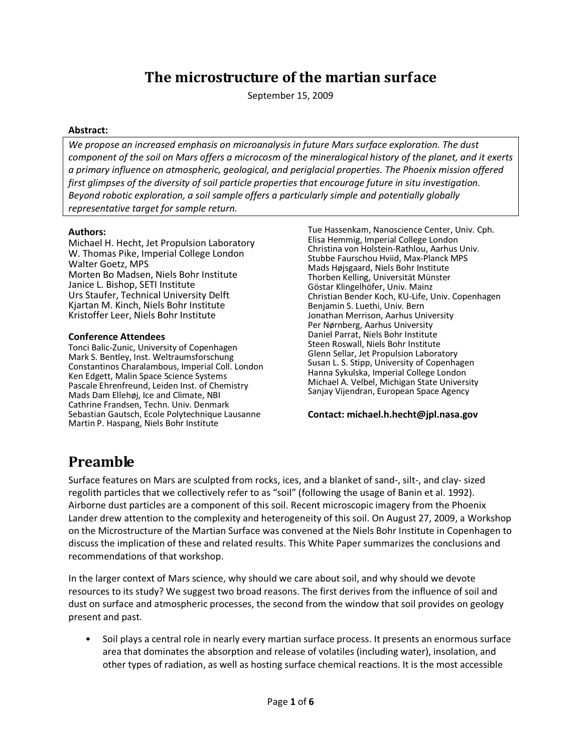## The microstructure of the martian surface

September 15, 2009

### Abstract:

We propose an increased emphasis on microanalysis in future Mars surface exploration. The dust component of the soil on Mars offers a microcosm of the mineralogical history of the planet, and it exerts a primary influence on atmospheric, geological, and periglacial properties. The Phoenix mission offered first glimpses of the diversity of soil particle properties that encourage future in situ investigation. Beyond robotic exploration, a soil sample offers a particularly simple and potentially globally representative target for sample return.

### Authors:

Michael H. Hecht, Jet Propulsion Laboratory W. Thomas Pike, Imperial College London Walter Goetz, MPS Morten Bo Madsen, Niels Bohr Institute Janice L. Bishop, SETI Institute Urs Staufer, Technical University Delft Kjartan M. Kinch, Niels Bohr Institute Kristoffer Leer, Niels Bohr Institute

### Conference Attendees

Tonci Balic-Zunic, University of Copenhagen Mark S. Bentley, Inst. Weltraumsforschung Constantinos Charalambous, Imperial Coll. London Ken Edgett, Malin Space Science Systems Pascale Ehrenfreund, Leiden Inst. of Chemistry Mads Dam Ellehøj, Ice and Climate, NBI Cathrine Frandsen, Techn. Univ. Denmark Sebastian Gautsch, Ecole Polytechnique Lausanne Martin P. Haspang, Niels Bohr Institute

Tue Hassenkam, Nanoscience Center, Univ. Cph. Elisa Hemmig, Imperial College London Christina von Holstein-Rathlou, Aarhus Univ. Stubbe Faurschou Hviid, Max-Planck MPS Mads Højsgaard, Niels Bohr Institute Thorben Kelling, Universität Münster Göstar Klingelhöfer, Univ. Mainz Christian Bender Koch, KU-Life, Univ. Copenhagen Benjamin S. Luethi, Univ. Bern Jonathan Merrison, Aarhus University Per Nørnberg, Aarhus University Daniel Parrat, Niels Bohr Institute Steen Roswall, Niels Bohr Institute Glenn Sellar, Jet Propulsion Laboratory Susan L. S. Stipp, University of Copenhagen Hanna Sykulska, Imperial College London Michael A. Velbel, Michigan State University Sanjay Vijendran, European Space Agency

### Contact: michael.h.hecht@jpl.nasa.gov

## Preamble

Surface features on Mars are sculpted from rocks, ices, and a blanket of sand-, silt-, and clay- sized regolith particles that we collectively refer to as "soil" (following the usage of Banin et al. 1992). Airborne dust particles are a component of this soil. Recent microscopic imagery from the Phoenix Lander drew attention to the complexity and heterogeneity of this soil. On August 27, 2009, a Workshop on the Microstructure of the Martian Surface was convened at the Niels Bohr Institute in Copenhagen to discuss the implication of these and related results. This White Paper summarizes the conclusions and recommendations of that workshop.

In the larger context of Mars science, why should we care about soil, and why should we devote resources to its study? We suggest two broad reasons. The first derives from the influence of soil and dust on surface and atmospheric processes, the second from the window that soil provides on geology present and past.

• Soil plays a central role in nearly every martian surface process. It presents an enormous surface area that dominates the absorption and release of volatiles (including water), insolation, and other types of radiation, as well as hosting surface chemical reactions. It is the most accessible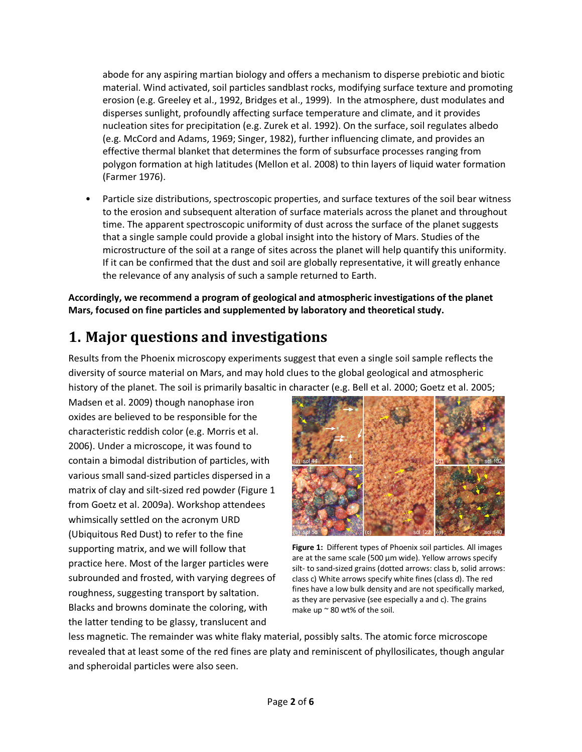abode for any aspiring martian biology and offers a mechanism to disperse prebiotic and biotic material. Wind activated, soil particles sandblast rocks, modifying surface texture and promoting erosion (e.g. Greeley et al., 1992, Bridges et al., 1999). In the atmosphere, dust modulates and disperses sunlight, profoundly affecting surface temperature and climate, and it provides nucleation sites for precipitation (e.g. Zurek et al. 1992). On the surface, soil regulates albedo (e.g. McCord and Adams, 1969; Singer, 1982), further influencing climate, and provides an effective thermal blanket that determines the form of subsurface processes ranging from polygon formation at high latitudes (Mellon et al. 2008) to thin layers of liquid water formation (Farmer 1976).

• Particle size distributions, spectroscopic properties, and surface textures of the soil bear witness to the erosion and subsequent alteration of surface materials across the planet and throughout time. The apparent spectroscopic uniformity of dust across the surface of the planet suggests that a single sample could provide a global insight into the history of Mars. Studies of the microstructure of the soil at a range of sites across the planet will help quantify this uniformity. If it can be confirmed that the dust and soil are globally representative, it will greatly enhance the relevance of any analysis of such a sample returned to Earth.

Accordingly, we recommend a program of geological and atmospheric investigations of the planet Mars, focused on fine particles and supplemented by laboratory and theoretical study.

# 1. Major questions and investigations

Results from the Phoenix microscopy experiments suggest that even a single soil sample reflects the diversity of source material on Mars, and may hold clues to the global geological and atmospheric history of the planet. The soil is primarily basaltic in character (e.g. Bell et al. 2000; Goetz et al. 2005;

Madsen et al. 2009) though nanophase iron oxides are believed to be responsible for the characteristic reddish color (e.g. Morris et al. 2006). Under a microscope, it was found to contain a bimodal distribution of particles, with various small sand-sized particles dispersed in a matrix of clay and silt-sized red powder (Figure 1 from Goetz et al. 2009a). Workshop attendees whimsically settled on the acronym URD (Ubiquitous Red Dust) to refer to the fine supporting matrix, and we will follow that practice here. Most of the larger particles were subrounded and frosted, with varying degrees of roughness, suggesting transport by saltation. Blacks and browns dominate the coloring, with the latter tending to be glassy, translucent and



Figure 1: Different types of Phoenix soil particles. All images are at the same scale (500  $\mu$ m wide). Yellow arrows specify silt- to sand-sized grains (dotted arrows: class b, solid arrows: class c) White arrows specify white fines (class d). The red fines have a low bulk density and are not specifically marked, as they are pervasive (see especially a and c). The grains make up ~ 80 wt% of the soil.

less magnetic. The remainder was white flaky material, possibly salts. The atomic force microscope revealed that at least some of the red fines are platy and reminiscent of phyllosilicates, though angular and spheroidal particles were also seen.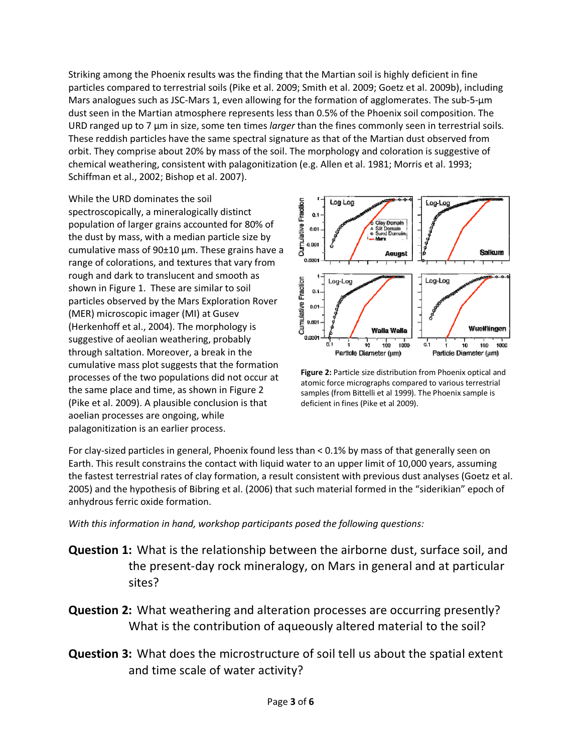Striking among the Phoenix results was the finding that the Martian soil is highly deficient in fine particles compared to terrestrial soils (Pike et al. 2009; Smith et al. 2009; Goetz et al. 2009b), including Mars analogues such as JSC-Mars 1, even allowing for the formation of agglomerates. The sub-5-μm dust seen in the Martian atmosphere represents less than 0.5% of the Phoenix soil composition. The URD ranged up to 7 μm in size, some ten times larger than the fines commonly seen in terrestrial soils. These reddish particles have the same spectral signature as that of the Martian dust observed from orbit. They comprise about 20% by mass of the soil. The morphology and coloration is suggestive of chemical weathering, consistent with palagonitization (e.g. Allen et al. 1981; Morris et al. 1993; Schiffman et al., 2002; Bishop et al. 2007).

While the URD dominates the soil spectroscopically, a mineralogically distinct population of larger grains accounted for 80% of the dust by mass, with a median particle size by cumulative mass of  $90±10 \mu m$ . These grains have a range of colorations, and textures that vary from rough and dark to translucent and smooth as shown in Figure 1. These are similar to soil particles observed by the Mars Exploration Rover (MER) microscopic imager (MI) at Gusev (Herkenhoff et al., 2004). The morphology is suggestive of aeolian weathering, probably through saltation. Moreover, a break in the cumulative mass plot suggests that the formation processes of the two populations did not occur at the same place and time, as shown in Figure 2 (Pike et al. 2009). A plausible conclusion is that aoelian processes are ongoing, while palagonitization is an earlier process.



Figure 2: Particle size distribution from Phoenix optical and atomic force micrographs compared to various terrestrial samples (from Bittelli et al 1999). The Phoenix sample is deficient in fines (Pike et al 2009).

For clay-sized particles in general, Phoenix found less than < 0.1% by mass of that generally seen on Earth. This result constrains the contact with liquid water to an upper limit of 10,000 years, assuming the fastest terrestrial rates of clay formation, a result consistent with previous dust analyses (Goetz et al. 2005) and the hypothesis of Bibring et al. (2006) that such material formed in the "siderikian" epoch of anhydrous ferric oxide formation.

With this information in hand, workshop participants posed the following questions:

- Question 1: What is the relationship between the airborne dust, surface soil, and the present-day rock mineralogy, on Mars in general and at particular sites?
- Question 2: What weathering and alteration processes are occurring presently? What is the contribution of aqueously altered material to the soil?
- Question 3: What does the microstructure of soil tell us about the spatial extent and time scale of water activity?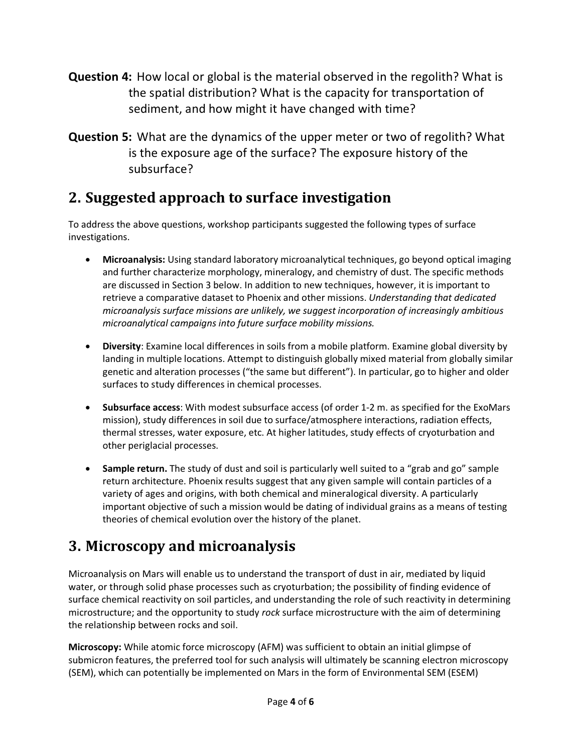- Question 4: How local or global is the material observed in the regolith? What is the spatial distribution? What is the capacity for transportation of sediment, and how might it have changed with time?
- Question 5: What are the dynamics of the upper meter or two of regolith? What is the exposure age of the surface? The exposure history of the subsurface?

## 2. Suggested approach to surface investigation

To address the above questions, workshop participants suggested the following types of surface investigations.

- Microanalysis: Using standard laboratory microanalytical techniques, go beyond optical imaging and further characterize morphology, mineralogy, and chemistry of dust. The specific methods are discussed in Section 3 below. In addition to new techniques, however, it is important to retrieve a comparative dataset to Phoenix and other missions. Understanding that dedicated microanalysis surface missions are unlikely, we suggest incorporation of increasingly ambitious microanalytical campaigns into future surface mobility missions.
- Diversity: Examine local differences in soils from a mobile platform. Examine global diversity by landing in multiple locations. Attempt to distinguish globally mixed material from globally similar genetic and alteration processes ("the same but different"). In particular, go to higher and older surfaces to study differences in chemical processes.
- Subsurface access: With modest subsurface access (of order 1-2 m. as specified for the ExoMars mission), study differences in soil due to surface/atmosphere interactions, radiation effects, thermal stresses, water exposure, etc. At higher latitudes, study effects of cryoturbation and other periglacial processes.
- Sample return. The study of dust and soil is particularly well suited to a "grab and go" sample return architecture. Phoenix results suggest that any given sample will contain particles of a variety of ages and origins, with both chemical and mineralogical diversity. A particularly important objective of such a mission would be dating of individual grains as a means of testing theories of chemical evolution over the history of the planet.

## 3. Microscopy and microanalysis

Microanalysis on Mars will enable us to understand the transport of dust in air, mediated by liquid water, or through solid phase processes such as cryoturbation; the possibility of finding evidence of surface chemical reactivity on soil particles, and understanding the role of such reactivity in determining microstructure; and the opportunity to study rock surface microstructure with the aim of determining the relationship between rocks and soil.

Microscopy: While atomic force microscopy (AFM) was sufficient to obtain an initial glimpse of submicron features, the preferred tool for such analysis will ultimately be scanning electron microscopy (SEM), which can potentially be implemented on Mars in the form of Environmental SEM (ESEM)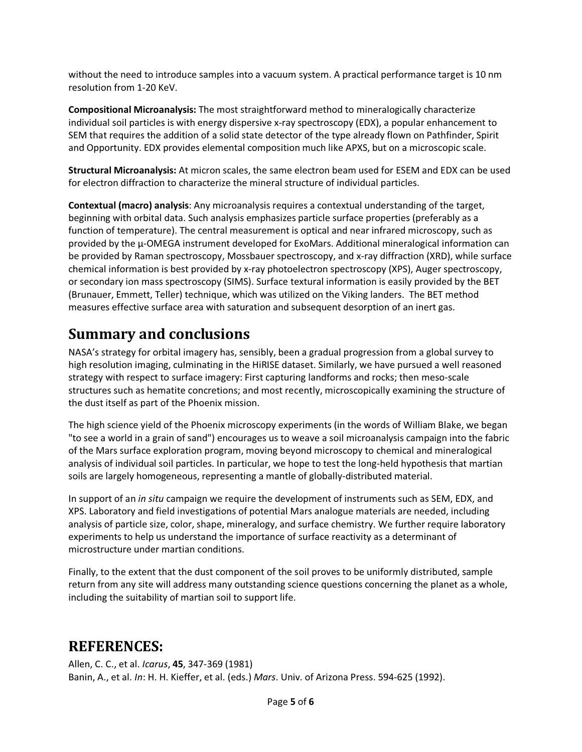without the need to introduce samples into a vacuum system. A practical performance target is 10 nm resolution from 1-20 KeV.

Compositional Microanalysis: The most straightforward method to mineralogically characterize individual soil particles is with energy dispersive x-ray spectroscopy (EDX), a popular enhancement to SEM that requires the addition of a solid state detector of the type already flown on Pathfinder, Spirit and Opportunity. EDX provides elemental composition much like APXS, but on a microscopic scale.

Structural Microanalysis: At micron scales, the same electron beam used for ESEM and EDX can be used for electron diffraction to characterize the mineral structure of individual particles.

Contextual (macro) analysis: Any microanalysis requires a contextual understanding of the target, beginning with orbital data. Such analysis emphasizes particle surface properties (preferably as a function of temperature). The central measurement is optical and near infrared microscopy, such as provided by the µ-OMEGA instrument developed for ExoMars. Additional mineralogical information can be provided by Raman spectroscopy, Mossbauer spectroscopy, and x-ray diffraction (XRD), while surface chemical information is best provided by x-ray photoelectron spectroscopy (XPS), Auger spectroscopy, or secondary ion mass spectroscopy (SIMS). Surface textural information is easily provided by the BET (Brunauer, Emmett, Teller) technique, which was utilized on the Viking landers. The BET method measures effective surface area with saturation and subsequent desorption of an inert gas.

## Summary and conclusions

NASA's strategy for orbital imagery has, sensibly, been a gradual progression from a global survey to high resolution imaging, culminating in the HiRISE dataset. Similarly, we have pursued a well reasoned strategy with respect to surface imagery: First capturing landforms and rocks; then meso-scale structures such as hematite concretions; and most recently, microscopically examining the structure of the dust itself as part of the Phoenix mission.

The high science yield of the Phoenix microscopy experiments (in the words of William Blake, we began "to see a world in a grain of sand") encourages us to weave a soil microanalysis campaign into the fabric of the Mars surface exploration program, moving beyond microscopy to chemical and mineralogical analysis of individual soil particles. In particular, we hope to test the long-held hypothesis that martian soils are largely homogeneous, representing a mantle of globally-distributed material.

In support of an *in situ* campaign we require the development of instruments such as SEM, EDX, and XPS. Laboratory and field investigations of potential Mars analogue materials are needed, including analysis of particle size, color, shape, mineralogy, and surface chemistry. We further require laboratory experiments to help us understand the importance of surface reactivity as a determinant of microstructure under martian conditions.

Finally, to the extent that the dust component of the soil proves to be uniformly distributed, sample return from any site will address many outstanding science questions concerning the planet as a whole, including the suitability of martian soil to support life.

## REFERENCES:

Allen, C. C., et al. Icarus, 45, 347-369 (1981) Banin, A., et al. In: H. H. Kieffer, et al. (eds.) Mars. Univ. of Arizona Press. 594-625 (1992).